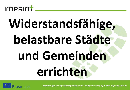

### **Widerstandsfähige, belastbare Städte und Gemeinden errichten**

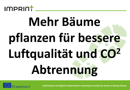

## **Mehr Bäume pflanzen für bessere Luftqualität und CO<sup>2</sup> Abtrennung**

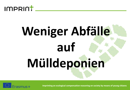

## **Weniger Abfälle auf Mülldeponien**

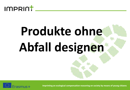

### **Produkte ohne Abfall designen**

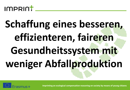

### **Schaffung eines besseren, effizienteren, faireren Gesundheitssystem mit weniger Abfallproduktion**

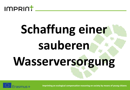

# **Schaffung einer sauberen Wasserversorgung**

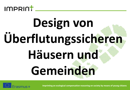

### **Design von Überflutungssicheren Häusern und Gemeinden**

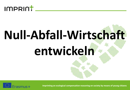

# **Null-Abfall-Wirtschaft entwickeln**

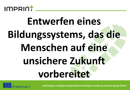

#### **Entwerfen eines Bildungssystems, das die Menschen auf eine unsichere Zukunft vorbereitet**

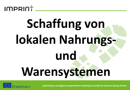

## **Schaffung von lokalen Nahrungsund Warensystemen**

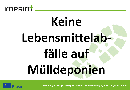

## **Keine Lebensmittelabfälle auf Mülldeponien**

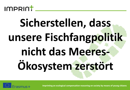

### **Sicherstellen, dass unsere Fischfangpolitik nicht das Meeres-Ökosystem zerstört**

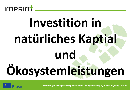

### **Investition in natürliches Kaptial und Ökosystemleistungen**

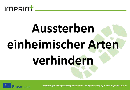

# **Aussterben einheimischer Arten verhindern**

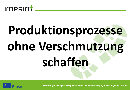

## **Produktionsprozesse ohne Verschmutzung schaffen**

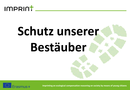

### **Schutz unserer Bestäuber**

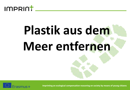

### **Plastik aus dem Meer entfernen**

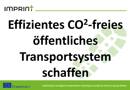

### **Effizientes CO<sup>2</sup> -freies öffentliches Transportsystem schaffen**

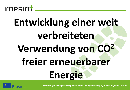

### **Entwicklung einer weit verbreiteten Verwendung von CO<sup>2</sup> freier erneuerbarer Energie**

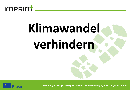

### **Klimawandel verhindern**